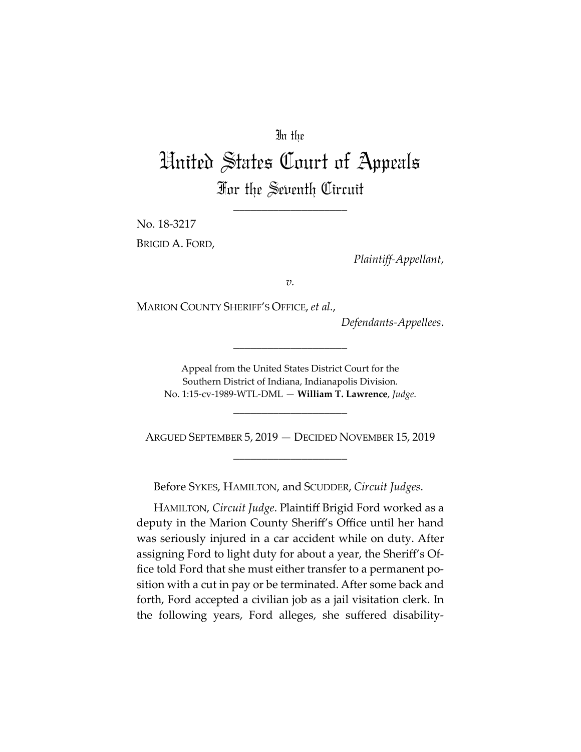# In the

# United States Court of Appeals For the Seventh Circuit

\_\_\_\_\_\_\_\_\_\_\_\_\_\_\_\_\_\_\_\_

No. 18-3217

BRIGID A. FORD,

*Plaintiff-Appellant*,

*v.*

MARION COUNTY SHERIFF'S OFFICE, *et al.*,

*Defendants-Appellees*.

Appeal from the United States District Court for the Southern District of Indiana, Indianapolis Division. No. 1:15-cv-1989-WTL-DML — **William T. Lawrence**, *Judge*.

\_\_\_\_\_\_\_\_\_\_\_\_\_\_\_\_\_\_\_\_

\_\_\_\_\_\_\_\_\_\_\_\_\_\_\_\_\_\_\_\_

ARGUED SEPTEMBER 5, 2019 — DECIDED NOVEMBER 15, 2019 \_\_\_\_\_\_\_\_\_\_\_\_\_\_\_\_\_\_\_\_

Before SYKES, HAMILTON, and SCUDDER, *Circuit Judges*.

HAMILTON, *Circuit Judge*. Plaintiff Brigid Ford worked as a deputy in the Marion County Sheriff's Office until her hand was seriously injured in a car accident while on duty. After assigning Ford to light duty for about a year, the Sheriff's Office told Ford that she must either transfer to a permanent position with a cut in pay or be terminated. After some back and forth, Ford accepted a civilian job as a jail visitation clerk. In the following years, Ford alleges, she suffered disability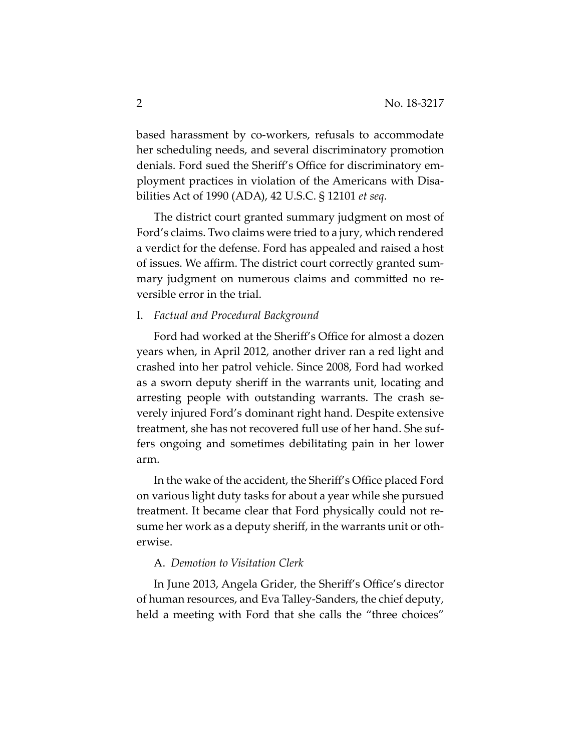based harassment by co-workers, refusals to accommodate her scheduling needs, and several discriminatory promotion denials. Ford sued the Sheriff's Office for discriminatory employment practices in violation of the Americans with Disabilities Act of 1990 (ADA), 42 U.S.C. § 12101 *et seq*.

The district court granted summary judgment on most of Ford's claims. Two claims were tried to a jury, which rendered a verdict for the defense. Ford has appealed and raised a host of issues. We affirm. The district court correctly granted summary judgment on numerous claims and committed no reversible error in the trial.

## I. *Factual and Procedural Background*

Ford had worked at the Sheriff's Office for almost a dozen years when, in April 2012, another driver ran a red light and crashed into her patrol vehicle. Since 2008, Ford had worked as a sworn deputy sheriff in the warrants unit, locating and arresting people with outstanding warrants. The crash severely injured Ford's dominant right hand. Despite extensive treatment, she has not recovered full use of her hand. She suffers ongoing and sometimes debilitating pain in her lower arm.

In the wake of the accident, the Sheriff's Office placed Ford on various light duty tasks for about a year while she pursued treatment. It became clear that Ford physically could not resume her work as a deputy sheriff, in the warrants unit or otherwise.

## A. *Demotion to Visitation Clerk*

In June 2013, Angela Grider, the Sheriff's Office's director of human resources, and Eva Talley-Sanders, the chief deputy, held a meeting with Ford that she calls the "three choices"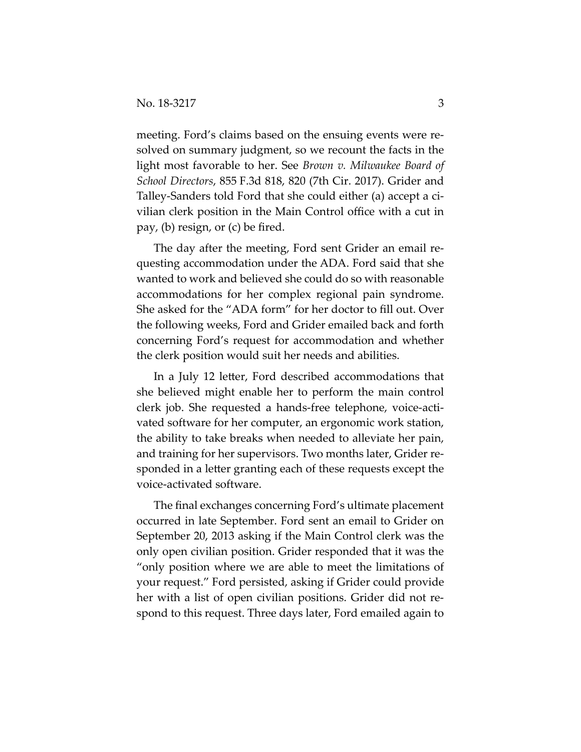meeting. Ford's claims based on the ensuing events were resolved on summary judgment, so we recount the facts in the light most favorable to her. See *Brown v. Milwaukee Board of School Directors*, 855 F.3d 818, 820 (7th Cir. 2017). Grider and Talley-Sanders told Ford that she could either (a) accept a civilian clerk position in the Main Control office with a cut in pay, (b) resign, or (c) be fired.

The day after the meeting, Ford sent Grider an email requesting accommodation under the ADA. Ford said that she wanted to work and believed she could do so with reasonable accommodations for her complex regional pain syndrome. She asked for the "ADA form" for her doctor to fill out. Over the following weeks, Ford and Grider emailed back and forth concerning Ford's request for accommodation and whether the clerk position would suit her needs and abilities.

In a July 12 letter, Ford described accommodations that she believed might enable her to perform the main control clerk job. She requested a hands-free telephone, voice-activated software for her computer, an ergonomic work station, the ability to take breaks when needed to alleviate her pain, and training for her supervisors. Two months later, Grider responded in a letter granting each of these requests except the voice-activated software.

The final exchanges concerning Ford's ultimate placement occurred in late September. Ford sent an email to Grider on September 20, 2013 asking if the Main Control clerk was the only open civilian position. Grider responded that it was the "only position where we are able to meet the limitations of your request." Ford persisted, asking if Grider could provide her with a list of open civilian positions. Grider did not respond to this request. Three days later, Ford emailed again to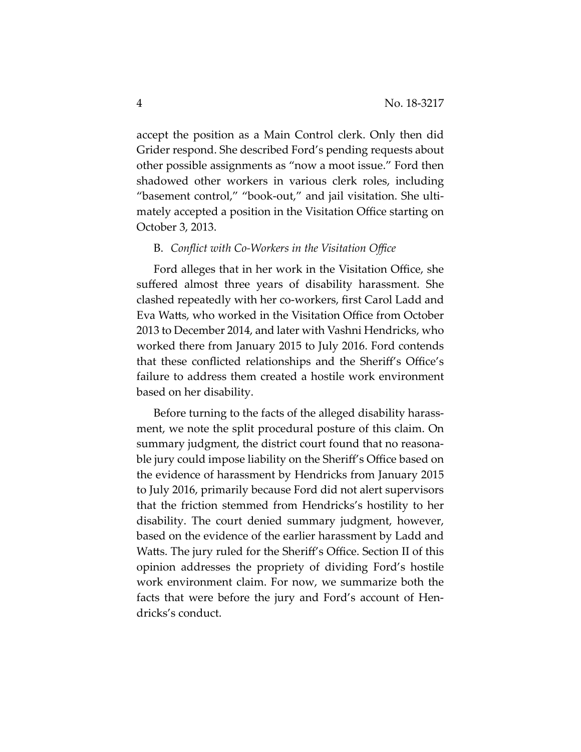accept the position as a Main Control clerk. Only then did Grider respond. She described Ford's pending requests about other possible assignments as "now a moot issue." Ford then shadowed other workers in various clerk roles, including "basement control," "book-out," and jail visitation. She ultimately accepted a position in the Visitation Office starting on October 3, 2013.

### B. *Conflict with Co-Workers in the Visitation Office*

Ford alleges that in her work in the Visitation Office, she suffered almost three years of disability harassment. She clashed repeatedly with her co-workers, first Carol Ladd and Eva Watts, who worked in the Visitation Office from October 2013 to December 2014, and later with Vashni Hendricks, who worked there from January 2015 to July 2016. Ford contends that these conflicted relationships and the Sheriff's Office's failure to address them created a hostile work environment based on her disability.

Before turning to the facts of the alleged disability harassment, we note the split procedural posture of this claim. On summary judgment, the district court found that no reasonable jury could impose liability on the Sheriff's Office based on the evidence of harassment by Hendricks from January 2015 to July 2016, primarily because Ford did not alert supervisors that the friction stemmed from Hendricks's hostility to her disability. The court denied summary judgment, however, based on the evidence of the earlier harassment by Ladd and Watts. The jury ruled for the Sheriff's Office. Section II of this opinion addresses the propriety of dividing Ford's hostile work environment claim. For now, we summarize both the facts that were before the jury and Ford's account of Hendricks's conduct.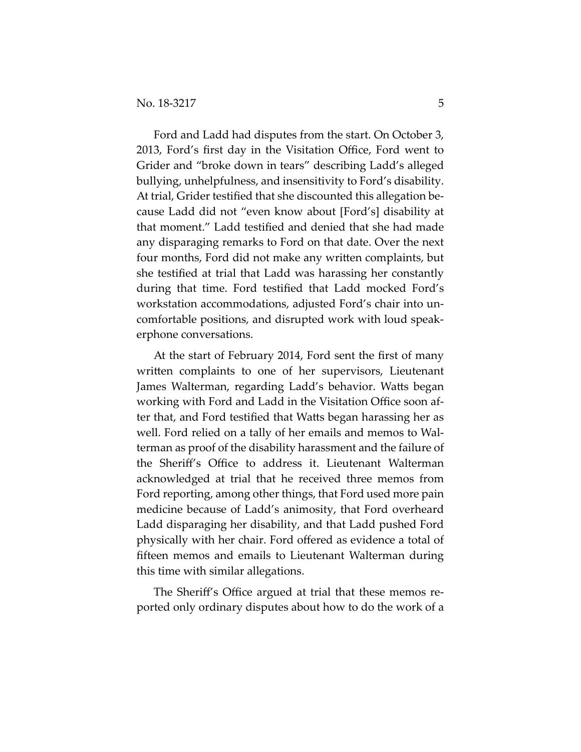Ford and Ladd had disputes from the start. On October 3, 2013, Ford's first day in the Visitation Office, Ford went to Grider and "broke down in tears" describing Ladd's alleged bullying, unhelpfulness, and insensitivity to Ford's disability. At trial, Grider testified that she discounted this allegation because Ladd did not "even know about [Ford's] disability at that moment." Ladd testified and denied that she had made any disparaging remarks to Ford on that date. Over the next four months, Ford did not make any written complaints, but she testified at trial that Ladd was harassing her constantly during that time. Ford testified that Ladd mocked Ford's workstation accommodations, adjusted Ford's chair into uncomfortable positions, and disrupted work with loud speakerphone conversations.

At the start of February 2014, Ford sent the first of many written complaints to one of her supervisors, Lieutenant James Walterman, regarding Ladd's behavior. Watts began working with Ford and Ladd in the Visitation Office soon after that, and Ford testified that Watts began harassing her as well. Ford relied on a tally of her emails and memos to Walterman as proof of the disability harassment and the failure of the Sheriff's Office to address it. Lieutenant Walterman acknowledged at trial that he received three memos from Ford reporting, among other things, that Ford used more pain medicine because of Ladd's animosity, that Ford overheard Ladd disparaging her disability, and that Ladd pushed Ford physically with her chair. Ford offered as evidence a total of fifteen memos and emails to Lieutenant Walterman during this time with similar allegations.

The Sheriff's Office argued at trial that these memos reported only ordinary disputes about how to do the work of a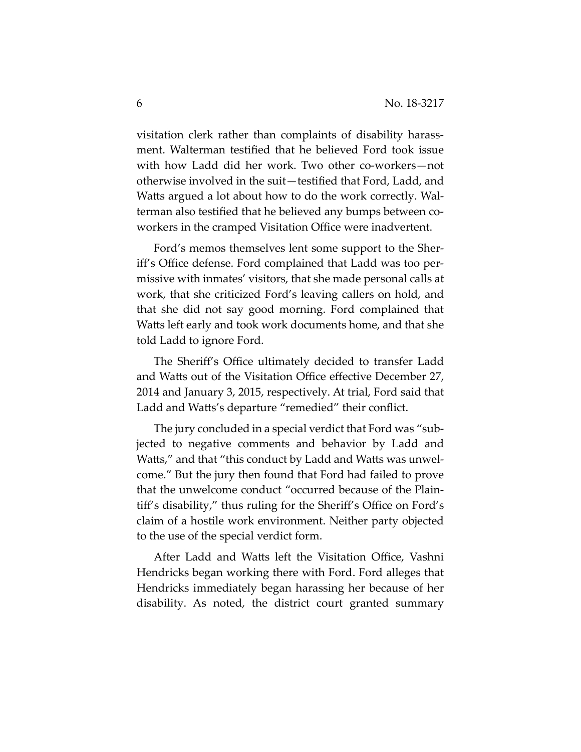visitation clerk rather than complaints of disability harassment. Walterman testified that he believed Ford took issue with how Ladd did her work. Two other co-workers—not otherwise involved in the suit—testified that Ford, Ladd, and Watts argued a lot about how to do the work correctly. Walterman also testified that he believed any bumps between coworkers in the cramped Visitation Office were inadvertent.

Ford's memos themselves lent some support to the Sheriff's Office defense. Ford complained that Ladd was too permissive with inmates' visitors, that she made personal calls at work, that she criticized Ford's leaving callers on hold, and that she did not say good morning. Ford complained that Watts left early and took work documents home, and that she told Ladd to ignore Ford.

The Sheriff's Office ultimately decided to transfer Ladd and Watts out of the Visitation Office effective December 27, 2014 and January 3, 2015, respectively. At trial, Ford said that Ladd and Watts's departure "remedied" their conflict.

The jury concluded in a special verdict that Ford was "subjected to negative comments and behavior by Ladd and Watts," and that "this conduct by Ladd and Watts was unwelcome." But the jury then found that Ford had failed to prove that the unwelcome conduct "occurred because of the Plaintiff's disability," thus ruling for the Sheriff's Office on Ford's claim of a hostile work environment. Neither party objected to the use of the special verdict form.

After Ladd and Watts left the Visitation Office, Vashni Hendricks began working there with Ford. Ford alleges that Hendricks immediately began harassing her because of her disability. As noted, the district court granted summary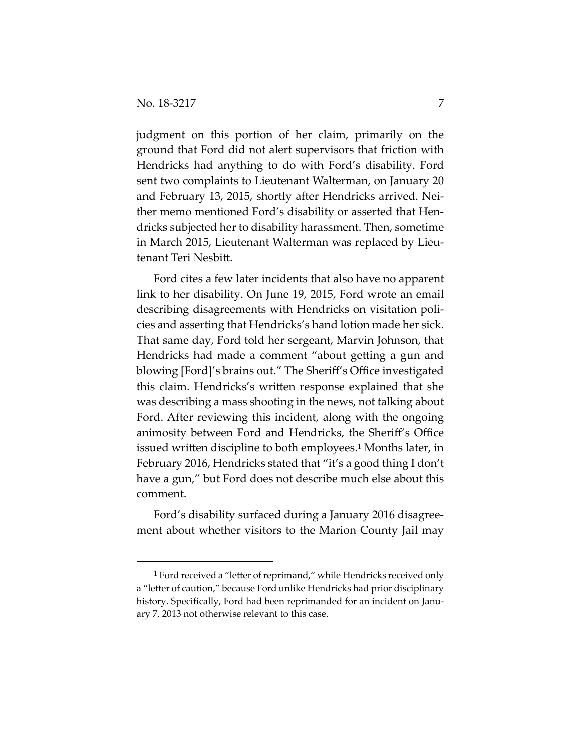judgment on this portion of her claim, primarily on the ground that Ford did not alert supervisors that friction with Hendricks had anything to do with Ford's disability. Ford sent two complaints to Lieutenant Walterman, on January 20 and February 13, 2015, shortly after Hendricks arrived. Neither memo mentioned Ford's disability or asserted that Hendricks subjected her to disability harassment. Then, sometime in March 2015, Lieutenant Walterman was replaced by Lieutenant Teri Nesbitt.

Ford cites a few later incidents that also have no apparent link to her disability. On June 19, 2015, Ford wrote an email describing disagreements with Hendricks on visitation policies and asserting that Hendricks's hand lotion made her sick. That same day, Ford told her sergeant, Marvin Johnson, that Hendricks had made a comment "about getting a gun and blowing [Ford]'s brains out." The Sheriff's Office investigated this claim. Hendricks's written response explained that she was describing a mass shooting in the news, not talking about Ford. After reviewing this incident, along with the ongoing animosity between Ford and Hendricks, the Sheriff's Office issued written discipline to both employees.<sup>1</sup> Months later, in February 2016, Hendricks stated that "it's a good thing I don't have a gun," but Ford does not describe much else about this comment.

Ford's disability surfaced during a January 2016 disagreement about whether visitors to the Marion County Jail may

<sup>&</sup>lt;sup>1</sup> Ford received a "letter of reprimand," while Hendricks received only a "letter of caution," because Ford unlike Hendricks had prior disciplinary history. Specifically, Ford had been reprimanded for an incident on January 7, 2013 not otherwise relevant to this case.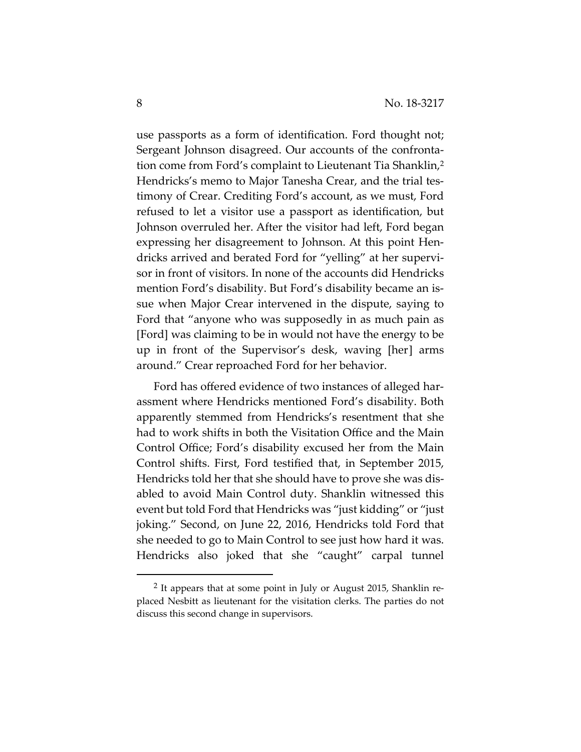use passports as a form of identification. Ford thought not; Sergeant Johnson disagreed. Our accounts of the confrontation come from Ford's complaint to Lieutenant Tia Shanklin,2 Hendricks's memo to Major Tanesha Crear, and the trial testimony of Crear. Crediting Ford's account, as we must, Ford refused to let a visitor use a passport as identification, but Johnson overruled her. After the visitor had left, Ford began expressing her disagreement to Johnson. At this point Hendricks arrived and berated Ford for "yelling" at her supervisor in front of visitors. In none of the accounts did Hendricks mention Ford's disability. But Ford's disability became an issue when Major Crear intervened in the dispute, saying to Ford that "anyone who was supposedly in as much pain as [Ford] was claiming to be in would not have the energy to be up in front of the Supervisor's desk, waving [her] arms around." Crear reproached Ford for her behavior.

Ford has offered evidence of two instances of alleged harassment where Hendricks mentioned Ford's disability. Both apparently stemmed from Hendricks's resentment that she had to work shifts in both the Visitation Office and the Main Control Office; Ford's disability excused her from the Main Control shifts. First, Ford testified that, in September 2015, Hendricks told her that she should have to prove she was disabled to avoid Main Control duty. Shanklin witnessed this event but told Ford that Hendricks was "just kidding" or "just joking." Second, on June 22, 2016, Hendricks told Ford that she needed to go to Main Control to see just how hard it was. Hendricks also joked that she "caught" carpal tunnel

 <sup>2</sup> It appears that at some point in July or August 2015, Shanklin replaced Nesbitt as lieutenant for the visitation clerks. The parties do not discuss this second change in supervisors.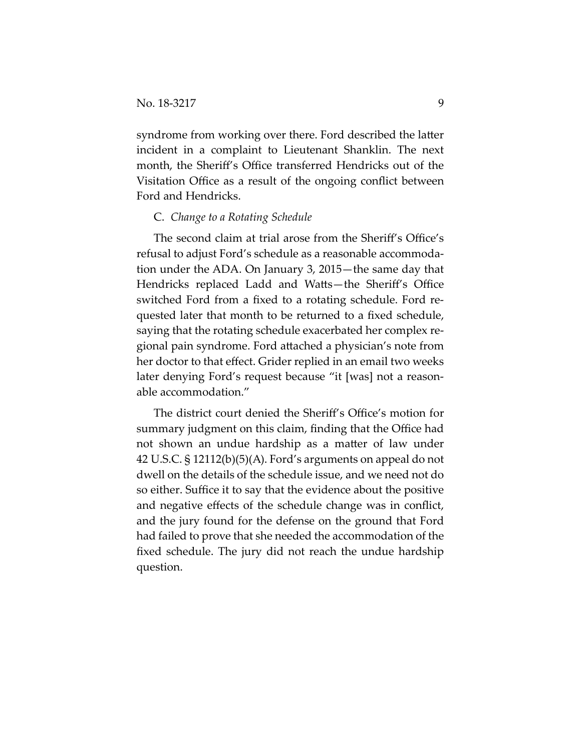syndrome from working over there. Ford described the latter incident in a complaint to Lieutenant Shanklin. The next month, the Sheriff's Office transferred Hendricks out of the Visitation Office as a result of the ongoing conflict between Ford and Hendricks.

### C. *Change to a Rotating Schedule*

The second claim at trial arose from the Sheriff's Office's refusal to adjust Ford's schedule as a reasonable accommodation under the ADA. On January 3, 2015—the same day that Hendricks replaced Ladd and Watts—the Sheriff's Office switched Ford from a fixed to a rotating schedule. Ford requested later that month to be returned to a fixed schedule, saying that the rotating schedule exacerbated her complex regional pain syndrome. Ford attached a physician's note from her doctor to that effect. Grider replied in an email two weeks later denying Ford's request because "it [was] not a reasonable accommodation."

The district court denied the Sheriff's Office's motion for summary judgment on this claim, finding that the Office had not shown an undue hardship as a matter of law under 42 U.S.C. § 12112(b)(5)(A). Ford's arguments on appeal do not dwell on the details of the schedule issue, and we need not do so either. Suffice it to say that the evidence about the positive and negative effects of the schedule change was in conflict, and the jury found for the defense on the ground that Ford had failed to prove that she needed the accommodation of the fixed schedule. The jury did not reach the undue hardship question.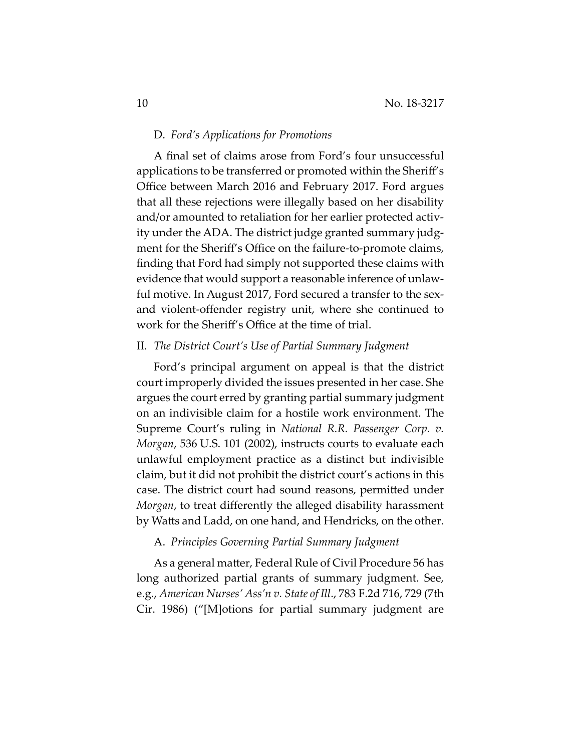#### D. *Ford's Applications for Promotions*

A final set of claims arose from Ford's four unsuccessful applications to be transferred or promoted within the Sheriff's Office between March 2016 and February 2017. Ford argues that all these rejections were illegally based on her disability and/or amounted to retaliation for her earlier protected activity under the ADA. The district judge granted summary judgment for the Sheriff's Office on the failure-to-promote claims, finding that Ford had simply not supported these claims with evidence that would support a reasonable inference of unlawful motive. In August 2017, Ford secured a transfer to the sexand violent-offender registry unit, where she continued to work for the Sheriff's Office at the time of trial.

## II. *The District Court's Use of Partial Summary Judgment*

Ford's principal argument on appeal is that the district court improperly divided the issues presented in her case. She argues the court erred by granting partial summary judgment on an indivisible claim for a hostile work environment. The Supreme Court's ruling in *National R.R. Passenger Corp. v. Morgan*, 536 U.S. 101 (2002), instructs courts to evaluate each unlawful employment practice as a distinct but indivisible claim, but it did not prohibit the district court's actions in this case. The district court had sound reasons, permitted under *Morgan*, to treat differently the alleged disability harassment by Watts and Ladd, on one hand, and Hendricks, on the other.

## A. *Principles Governing Partial Summary Judgment*

As a general matter, Federal Rule of Civil Procedure 56 has long authorized partial grants of summary judgment. See, e.g., *American Nurses' Ass'n v. State of Ill*., 783 F.2d 716, 729 (7th Cir. 1986) ("[M]otions for partial summary judgment are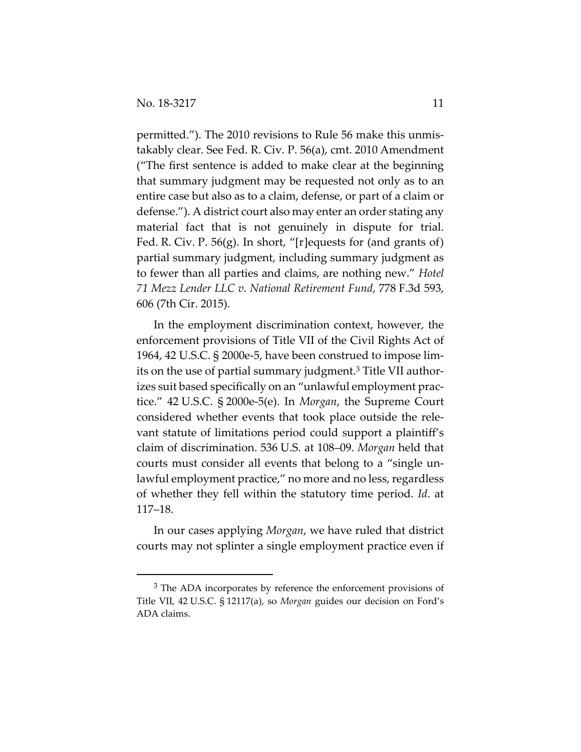permitted."). The 2010 revisions to Rule 56 make this unmistakably clear. See Fed. R. Civ. P. 56(a), cmt. 2010 Amendment ("The first sentence is added to make clear at the beginning that summary judgment may be requested not only as to an entire case but also as to a claim, defense, or part of a claim or defense."). A district court also may enter an order stating any material fact that is not genuinely in dispute for trial. Fed. R. Civ. P. 56(g). In short, "[r]equests for (and grants of) partial summary judgment, including summary judgment as to fewer than all parties and claims, are nothing new." *Hotel 71 Mezz Lender LLC v. National Retirement Fund*, 778 F.3d 593, 606 (7th Cir. 2015).

In the employment discrimination context, however, the enforcement provisions of Title VII of the Civil Rights Act of 1964, 42 U.S.C. § 2000e-5, have been construed to impose limits on the use of partial summary judgment.3 Title VII authorizes suit based specifically on an "unlawful employment practice." 42 U.S.C. § 2000e-5(e). In *Morgan*, the Supreme Court considered whether events that took place outside the relevant statute of limitations period could support a plaintiff's claim of discrimination. 536 U.S. at 108–09. *Morgan* held that courts must consider all events that belong to a "single unlawful employment practice," no more and no less, regardless of whether they fell within the statutory time period. *Id*. at 117–18.

In our cases applying *Morgan*, we have ruled that district courts may not splinter a single employment practice even if

<sup>&</sup>lt;sup>3</sup> The ADA incorporates by reference the enforcement provisions of Title VII, 42 U.S.C. § 12117(a), so *Morgan* guides our decision on Ford's ADA claims.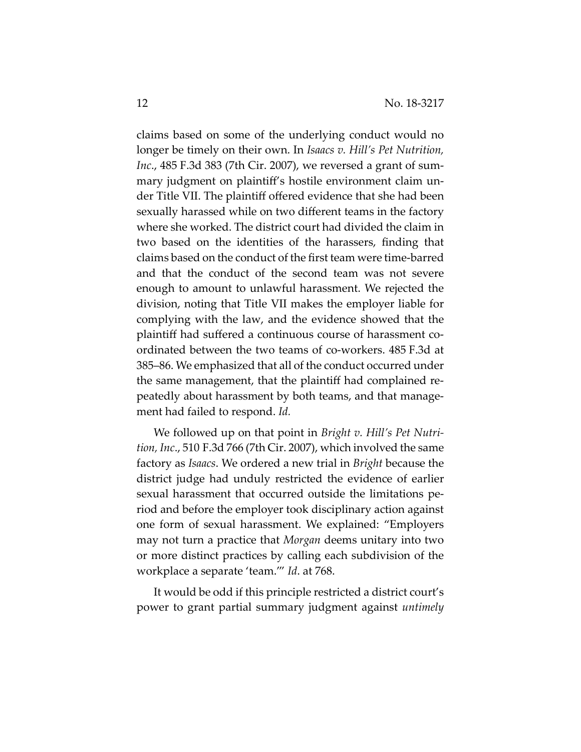claims based on some of the underlying conduct would no longer be timely on their own. In *Isaacs v. Hill's Pet Nutrition, Inc*., 485 F.3d 383 (7th Cir. 2007), we reversed a grant of summary judgment on plaintiff's hostile environment claim under Title VII. The plaintiff offered evidence that she had been sexually harassed while on two different teams in the factory where she worked. The district court had divided the claim in two based on the identities of the harassers, finding that claims based on the conduct of the first team were time-barred and that the conduct of the second team was not severe enough to amount to unlawful harassment. We rejected the division, noting that Title VII makes the employer liable for complying with the law, and the evidence showed that the plaintiff had suffered a continuous course of harassment coordinated between the two teams of co-workers. 485 F.3d at 385–86. We emphasized that all of the conduct occurred under the same management, that the plaintiff had complained repeatedly about harassment by both teams, and that management had failed to respond. *Id.*

We followed up on that point in *Bright v. Hill's Pet Nutrition, Inc*., 510 F.3d 766 (7th Cir. 2007), which involved the same factory as *Isaacs*. We ordered a new trial in *Bright* because the district judge had unduly restricted the evidence of earlier sexual harassment that occurred outside the limitations period and before the employer took disciplinary action against one form of sexual harassment. We explained: "Employers may not turn a practice that *Morgan* deems unitary into two or more distinct practices by calling each subdivision of the workplace a separate 'team.'" *Id*. at 768.

It would be odd if this principle restricted a district court's power to grant partial summary judgment against *untimely*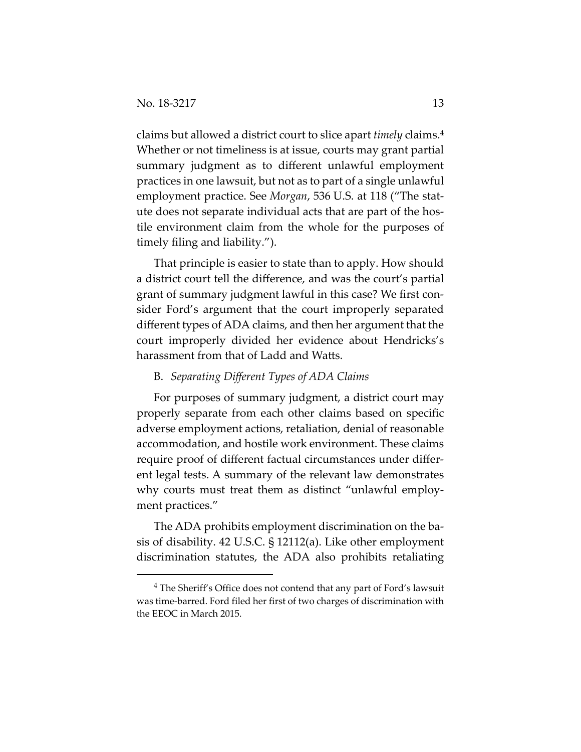$\overline{a}$ 

claims but allowed a district court to slice apart *timely* claims.4 Whether or not timeliness is at issue, courts may grant partial summary judgment as to different unlawful employment practices in one lawsuit, but not as to part of a single unlawful employment practice. See *Morgan*, 536 U.S. at 118 ("The statute does not separate individual acts that are part of the hostile environment claim from the whole for the purposes of timely filing and liability.").

That principle is easier to state than to apply. How should a district court tell the difference, and was the court's partial grant of summary judgment lawful in this case? We first consider Ford's argument that the court improperly separated different types of ADA claims, and then her argument that the court improperly divided her evidence about Hendricks's harassment from that of Ladd and Watts.

## B. *Separating Different Types of ADA Claims*

For purposes of summary judgment, a district court may properly separate from each other claims based on specific adverse employment actions, retaliation, denial of reasonable accommodation, and hostile work environment. These claims require proof of different factual circumstances under different legal tests. A summary of the relevant law demonstrates why courts must treat them as distinct "unlawful employment practices."

The ADA prohibits employment discrimination on the basis of disability. 42 U.S.C. § 12112(a). Like other employment discrimination statutes, the ADA also prohibits retaliating

<sup>4</sup> The Sheriff's Office does not contend that any part of Ford's lawsuit was time-barred. Ford filed her first of two charges of discrimination with the EEOC in March 2015.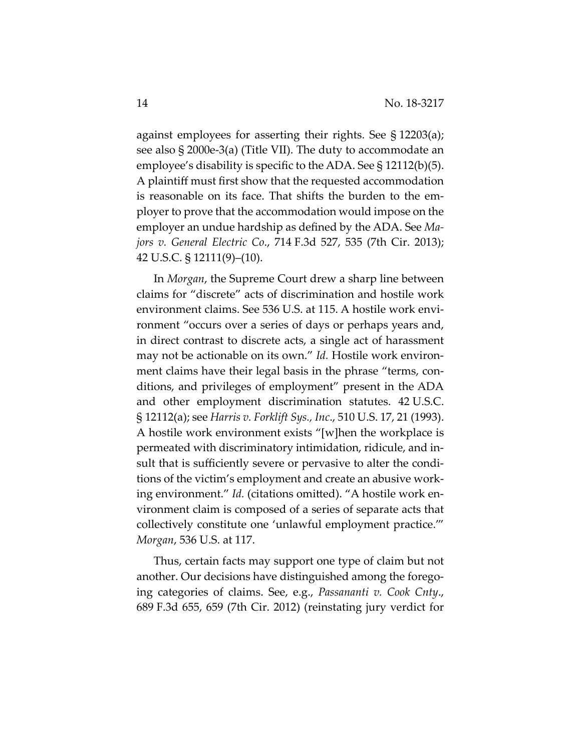against employees for asserting their rights. See § 12203(a); see also § 2000e-3(a) (Title VII). The duty to accommodate an employee's disability is specific to the ADA. See § 12112(b)(5). A plaintiff must first show that the requested accommodation is reasonable on its face. That shifts the burden to the employer to prove that the accommodation would impose on the employer an undue hardship as defined by the ADA. See *Majors v. General Electric Co*., 714 F.3d 527, 535 (7th Cir. 2013); 42 U.S.C. § 12111(9)–(10).

In *Morgan*, the Supreme Court drew a sharp line between claims for "discrete" acts of discrimination and hostile work environment claims. See 536 U.S. at 115. A hostile work environment "occurs over a series of days or perhaps years and, in direct contrast to discrete acts, a single act of harassment may not be actionable on its own." *Id.* Hostile work environment claims have their legal basis in the phrase "terms, conditions, and privileges of employment" present in the ADA and other employment discrimination statutes. 42 U.S.C. § 12112(a); see *Harris v. Forklift Sys., Inc*., 510 U.S. 17, 21 (1993). A hostile work environment exists "[w]hen the workplace is permeated with discriminatory intimidation, ridicule, and insult that is sufficiently severe or pervasive to alter the conditions of the victim's employment and create an abusive working environment." *Id.* (citations omitted). "A hostile work environment claim is composed of a series of separate acts that collectively constitute one 'unlawful employment practice.'" *Morgan*, 536 U.S. at 117.

Thus, certain facts may support one type of claim but not another. Our decisions have distinguished among the foregoing categories of claims. See, e.g., *Passananti v. Cook Cnty*., 689 F.3d 655, 659 (7th Cir. 2012) (reinstating jury verdict for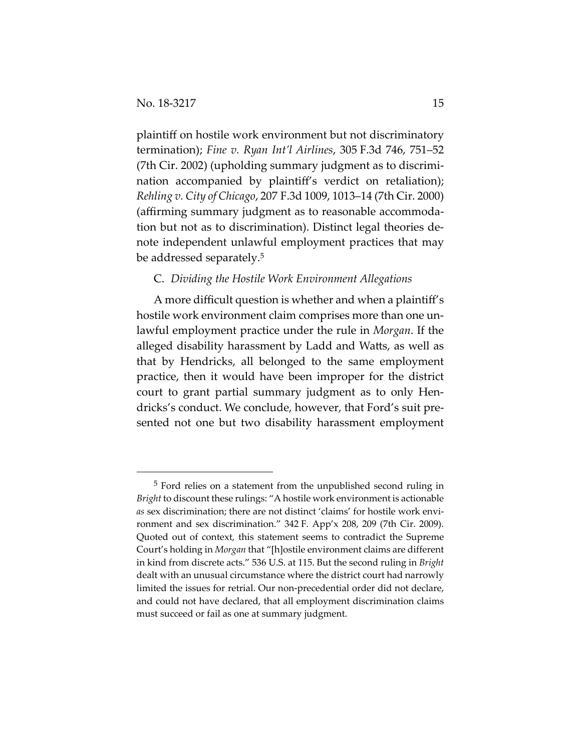plaintiff on hostile work environment but not discriminatory termination); *Fine v. Ryan Int'l Airlines*, 305 F.3d 746, 751–52 (7th Cir. 2002) (upholding summary judgment as to discrimination accompanied by plaintiff's verdict on retaliation); *Rehling v. City of Chicago*, 207 F.3d 1009, 1013–14 (7th Cir. 2000) (affirming summary judgment as to reasonable accommodation but not as to discrimination). Distinct legal theories denote independent unlawful employment practices that may be addressed separately.5

## C. *Dividing the Hostile Work Environment Allegations*

A more difficult question is whether and when a plaintiff's hostile work environment claim comprises more than one unlawful employment practice under the rule in *Morgan*. If the alleged disability harassment by Ladd and Watts, as well as that by Hendricks, all belonged to the same employment practice, then it would have been improper for the district court to grant partial summary judgment as to only Hendricks's conduct. We conclude, however, that Ford's suit presented not one but two disability harassment employment

 <sup>5</sup> Ford relies on a statement from the unpublished second ruling in *Bright* to discount these rulings: "A hostile work environment is actionable *as* sex discrimination; there are not distinct 'claims' for hostile work environment and sex discrimination." 342 F. App'x 208, 209 (7th Cir. 2009). Quoted out of context, this statement seems to contradict the Supreme Court's holding in *Morgan* that "[h]ostile environment claims are different in kind from discrete acts." 536 U.S. at 115. But the second ruling in *Bright* dealt with an unusual circumstance where the district court had narrowly limited the issues for retrial. Our non-precedential order did not declare, and could not have declared, that all employment discrimination claims must succeed or fail as one at summary judgment.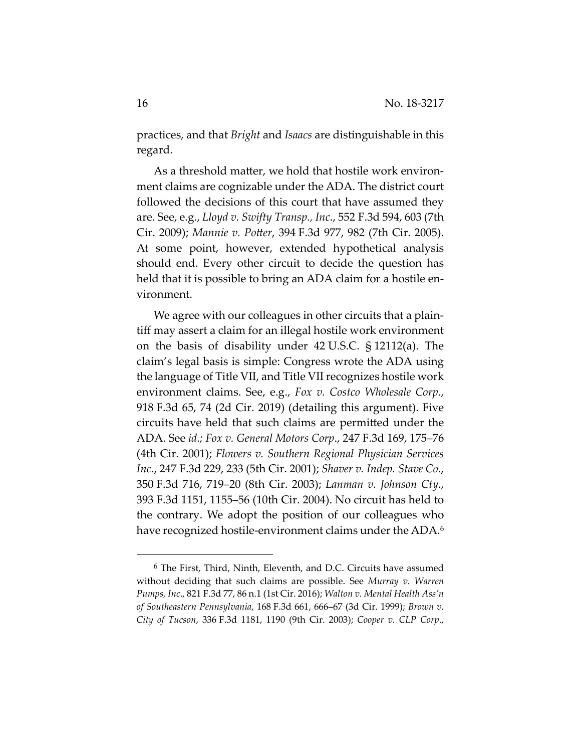practices, and that *Bright* and *Isaacs* are distinguishable in this regard.

As a threshold matter, we hold that hostile work environment claims are cognizable under the ADA. The district court followed the decisions of this court that have assumed they are. See, e.g., *Lloyd v. Swifty Transp., Inc*., 552 F.3d 594, 603 (7th Cir. 2009); *Mannie v. Potter*, 394 F.3d 977, 982 (7th Cir. 2005). At some point, however, extended hypothetical analysis should end. Every other circuit to decide the question has held that it is possible to bring an ADA claim for a hostile environment.

We agree with our colleagues in other circuits that a plaintiff may assert a claim for an illegal hostile work environment on the basis of disability under 42 U.S.C. § 12112(a). The claim's legal basis is simple: Congress wrote the ADA using the language of Title VII, and Title VII recognizes hostile work environment claims. See, e.g., *Fox v. Costco Wholesale Corp*., 918 F.3d 65, 74 (2d Cir. 2019) (detailing this argument). Five circuits have held that such claims are permitted under the ADA. See *id.; Fox v. General Motors Corp*., 247 F.3d 169, 175–76 (4th Cir. 2001); *Flowers v. Southern Regional Physician Services Inc*., 247 F.3d 229, 233 (5th Cir. 2001); *Shaver v. Indep. Stave Co*., 350 F.3d 716, 719–20 (8th Cir. 2003); *Lanman v. Johnson Cty*., 393 F.3d 1151, 1155–56 (10th Cir. 2004). No circuit has held to the contrary. We adopt the position of our colleagues who have recognized hostile-environment claims under the ADA.<sup>6</sup>

 <sup>6</sup> The First, Third, Ninth, Eleventh, and D.C. Circuits have assumed without deciding that such claims are possible. See *Murray v. Warren Pumps, Inc*., 821 F.3d 77, 86 n.1 (1st Cir. 2016); *Walton v. Mental Health Ass'n of Southeastern Pennsylvania*, 168 F.3d 661, 666–67 (3d Cir. 1999); *Brown v. City of Tucson*, 336 F.3d 1181, 1190 (9th Cir. 2003); *Cooper v. CLP Corp*.,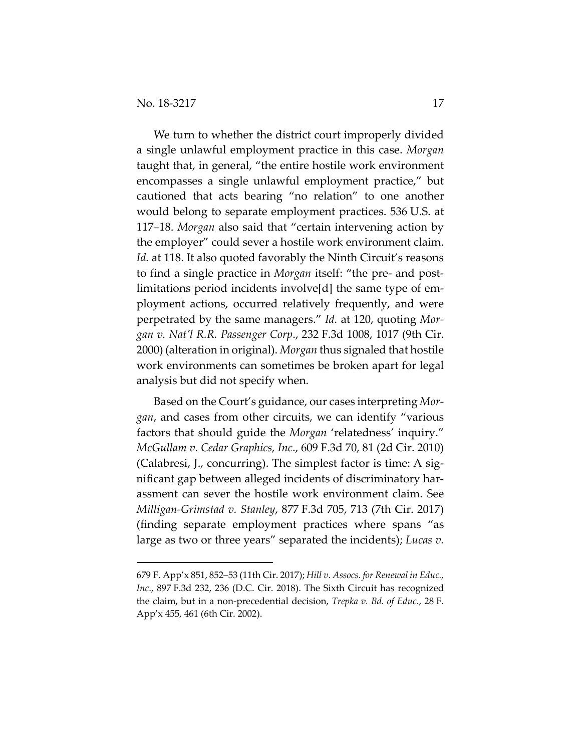$\overline{a}$ 

We turn to whether the district court improperly divided a single unlawful employment practice in this case. *Morgan* taught that, in general, "the entire hostile work environment encompasses a single unlawful employment practice," but cautioned that acts bearing "no relation" to one another would belong to separate employment practices. 536 U.S. at 117–18. *Morgan* also said that "certain intervening action by the employer" could sever a hostile work environment claim. Id. at 118. It also quoted favorably the Ninth Circuit's reasons to find a single practice in *Morgan* itself: "the pre- and postlimitations period incidents involve[d] the same type of employment actions, occurred relatively frequently, and were perpetrated by the same managers." *Id.* at 120, quoting *Morgan v. Nat'l R.R. Passenger Corp*., 232 F.3d 1008, 1017 (9th Cir. 2000) (alteration in original). *Morgan* thus signaled that hostile work environments can sometimes be broken apart for legal analysis but did not specify when.

Based on the Court's guidance, our cases interpreting *Morgan*, and cases from other circuits, we can identify "various factors that should guide the *Morgan* 'relatedness' inquiry." *McGullam v. Cedar Graphics, Inc*., 609 F.3d 70, 81 (2d Cir. 2010) (Calabresi, J., concurring). The simplest factor is time: A significant gap between alleged incidents of discriminatory harassment can sever the hostile work environment claim. See *Milligan-Grimstad v. Stanley*, 877 F.3d 705, 713 (7th Cir. 2017) (finding separate employment practices where spans "as large as two or three years" separated the incidents); *Lucas v.* 

<sup>679</sup> F. App'x 851, 852–53 (11th Cir. 2017); *Hill v. Assocs. for Renewal in Educ., Inc*., 897 F.3d 232, 236 (D.C. Cir. 2018). The Sixth Circuit has recognized the claim, but in a non-precedential decision, *Trepka v. Bd. of Educ*., 28 F. App'x 455, 461 (6th Cir. 2002).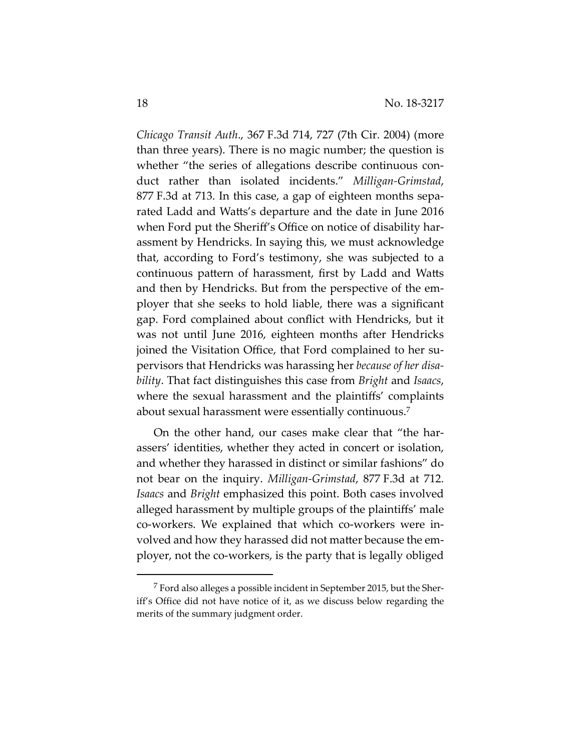*Chicago Transit Auth*., 367 F.3d 714, 727 (7th Cir. 2004) (more than three years). There is no magic number; the question is whether "the series of allegations describe continuous conduct rather than isolated incidents." *Milligan-Grimstad*, 877 F.3d at 713. In this case, a gap of eighteen months separated Ladd and Watts's departure and the date in June 2016 when Ford put the Sheriff's Office on notice of disability harassment by Hendricks. In saying this, we must acknowledge that, according to Ford's testimony, she was subjected to a continuous pattern of harassment, first by Ladd and Watts and then by Hendricks. But from the perspective of the employer that she seeks to hold liable, there was a significant gap. Ford complained about conflict with Hendricks, but it was not until June 2016, eighteen months after Hendricks joined the Visitation Office, that Ford complained to her supervisors that Hendricks was harassing her *because of her disability*. That fact distinguishes this case from *Bright* and *Isaacs*, where the sexual harassment and the plaintiffs' complaints about sexual harassment were essentially continuous.7

On the other hand, our cases make clear that "the harassers' identities, whether they acted in concert or isolation, and whether they harassed in distinct or similar fashions" do not bear on the inquiry. *Milligan-Grimstad*, 877 F.3d at 712. *Isaacs* and *Bright* emphasized this point. Both cases involved alleged harassment by multiple groups of the plaintiffs' male co-workers. We explained that which co-workers were involved and how they harassed did not matter because the employer, not the co-workers, is the party that is legally obliged

 $\overline{a}$ 

<sup>7</sup> Ford also alleges a possible incident in September 2015, but the Sheriff's Office did not have notice of it, as we discuss below regarding the merits of the summary judgment order.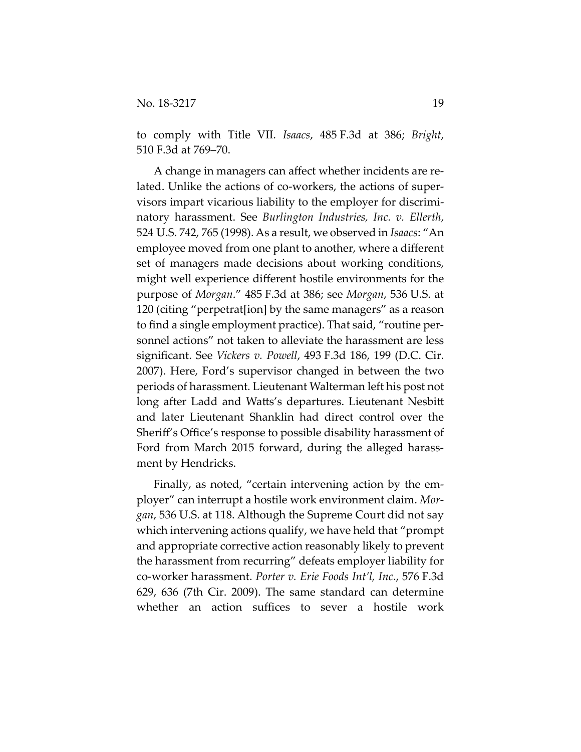to comply with Title VII. *Isaacs*, 485 F.3d at 386; *Bright*, 510 F.3d at 769–70.

A change in managers can affect whether incidents are related. Unlike the actions of co-workers, the actions of supervisors impart vicarious liability to the employer for discriminatory harassment. See *Burlington Industries, Inc. v. Ellerth*, 524 U.S. 742, 765 (1998). As a result, we observed in *Isaacs*: "An employee moved from one plant to another, where a different set of managers made decisions about working conditions, might well experience different hostile environments for the purpose of *Morgan*." 485 F.3d at 386; see *Morgan*, 536 U.S. at 120 (citing "perpetrat[ion] by the same managers" as a reason to find a single employment practice). That said, "routine personnel actions" not taken to alleviate the harassment are less significant. See *Vickers v. Powell*, 493 F.3d 186, 199 (D.C. Cir. 2007). Here, Ford's supervisor changed in between the two periods of harassment. Lieutenant Walterman left his post not long after Ladd and Watts's departures. Lieutenant Nesbitt and later Lieutenant Shanklin had direct control over the Sheriff's Office's response to possible disability harassment of Ford from March 2015 forward, during the alleged harassment by Hendricks.

Finally, as noted, "certain intervening action by the employer" can interrupt a hostile work environment claim. *Morgan*, 536 U.S. at 118. Although the Supreme Court did not say which intervening actions qualify, we have held that "prompt and appropriate corrective action reasonably likely to prevent the harassment from recurring" defeats employer liability for co-worker harassment. *Porter v. Erie Foods Int'l, Inc*., 576 F.3d 629, 636 (7th Cir. 2009). The same standard can determine whether an action suffices to sever a hostile work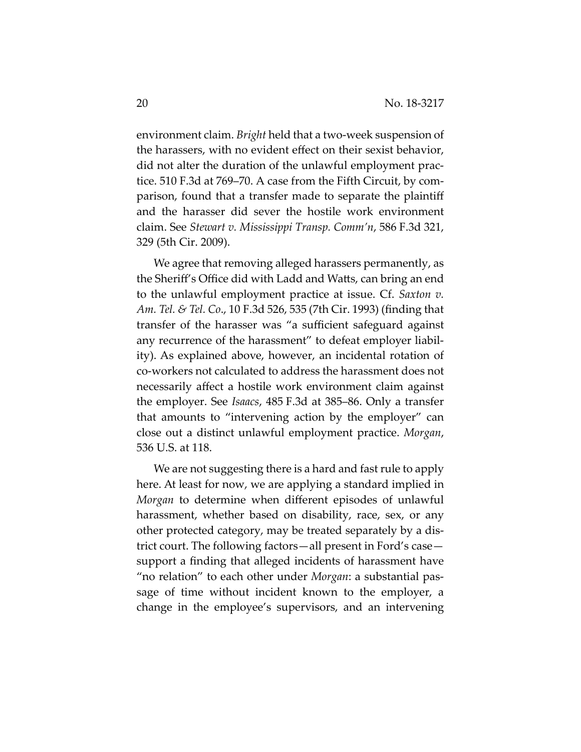environment claim. *Bright* held that a two-week suspension of the harassers, with no evident effect on their sexist behavior, did not alter the duration of the unlawful employment practice. 510 F.3d at 769–70. A case from the Fifth Circuit, by comparison, found that a transfer made to separate the plaintiff and the harasser did sever the hostile work environment claim. See *Stewart v. Mississippi Transp. Comm'n*, 586 F.3d 321, 329 (5th Cir. 2009).

We agree that removing alleged harassers permanently, as the Sheriff's Office did with Ladd and Watts, can bring an end to the unlawful employment practice at issue. Cf. *Saxton v. Am. Tel. & Tel. Co*., 10 F.3d 526, 535 (7th Cir. 1993) (finding that transfer of the harasser was "a sufficient safeguard against any recurrence of the harassment" to defeat employer liability). As explained above, however, an incidental rotation of co-workers not calculated to address the harassment does not necessarily affect a hostile work environment claim against the employer. See *Isaacs*, 485 F.3d at 385–86. Only a transfer that amounts to "intervening action by the employer" can close out a distinct unlawful employment practice. *Morgan*, 536 U.S. at 118.

We are not suggesting there is a hard and fast rule to apply here. At least for now, we are applying a standard implied in *Morgan* to determine when different episodes of unlawful harassment, whether based on disability, race, sex, or any other protected category, may be treated separately by a district court. The following factors—all present in Ford's case support a finding that alleged incidents of harassment have "no relation" to each other under *Morgan*: a substantial passage of time without incident known to the employer, a change in the employee's supervisors, and an intervening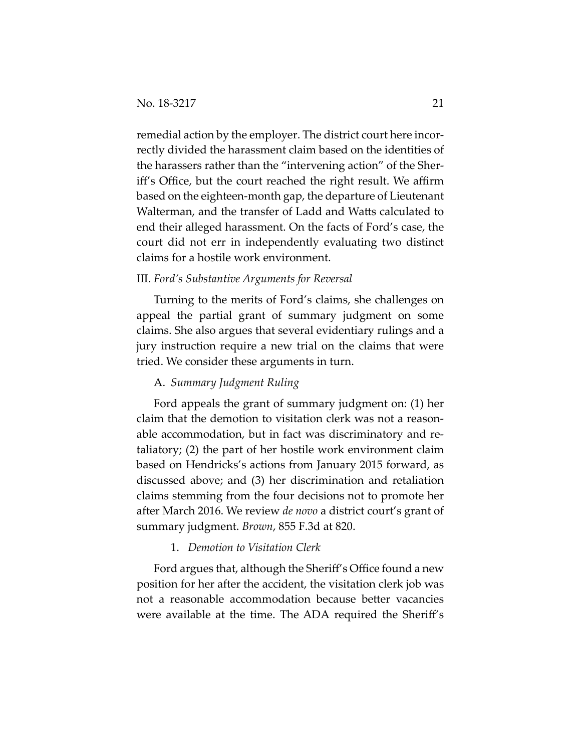remedial action by the employer. The district court here incorrectly divided the harassment claim based on the identities of the harassers rather than the "intervening action" of the Sheriff's Office, but the court reached the right result. We affirm based on the eighteen-month gap, the departure of Lieutenant Walterman, and the transfer of Ladd and Watts calculated to end their alleged harassment. On the facts of Ford's case, the court did not err in independently evaluating two distinct claims for a hostile work environment.

## III. *Ford's Substantive Arguments for Reversal*

Turning to the merits of Ford's claims, she challenges on appeal the partial grant of summary judgment on some claims. She also argues that several evidentiary rulings and a jury instruction require a new trial on the claims that were tried. We consider these arguments in turn.

### A. *Summary Judgment Ruling*

Ford appeals the grant of summary judgment on: (1) her claim that the demotion to visitation clerk was not a reasonable accommodation, but in fact was discriminatory and retaliatory; (2) the part of her hostile work environment claim based on Hendricks's actions from January 2015 forward, as discussed above; and (3) her discrimination and retaliation claims stemming from the four decisions not to promote her after March 2016. We review *de novo* a district court's grant of summary judgment. *Brown*, 855 F.3d at 820.

## 1. *Demotion to Visitation Clerk*

Ford argues that, although the Sheriff's Office found a new position for her after the accident, the visitation clerk job was not a reasonable accommodation because better vacancies were available at the time. The ADA required the Sheriff's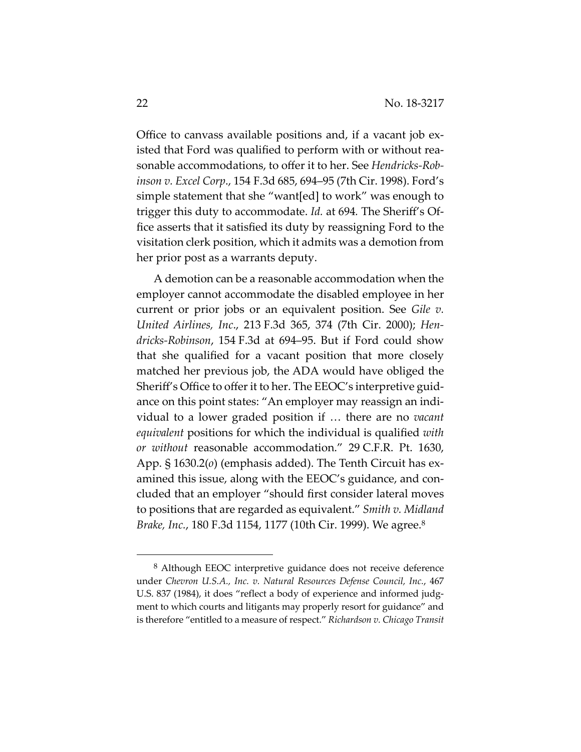Office to canvass available positions and, if a vacant job existed that Ford was qualified to perform with or without reasonable accommodations, to offer it to her. See *Hendricks-Robinson v. Excel Corp*., 154 F.3d 685, 694–95 (7th Cir. 1998). Ford's simple statement that she "want[ed] to work" was enough to trigger this duty to accommodate. *Id.* at 694*.* The Sheriff's Office asserts that it satisfied its duty by reassigning Ford to the visitation clerk position, which it admits was a demotion from her prior post as a warrants deputy.

A demotion can be a reasonable accommodation when the employer cannot accommodate the disabled employee in her current or prior jobs or an equivalent position. See *Gile v. United Airlines, Inc*., 213 F.3d 365, 374 (7th Cir. 2000); *Hendricks-Robinson*, 154 F.3d at 694–95. But if Ford could show that she qualified for a vacant position that more closely matched her previous job, the ADA would have obliged the Sheriff's Office to offer it to her. The EEOC's interpretive guidance on this point states: "An employer may reassign an individual to a lower graded position if … there are no *vacant equivalent* positions for which the individual is qualified *with or without* reasonable accommodation." 29 C.F.R. Pt. 1630, App. § 1630.2(*o*) (emphasis added). The Tenth Circuit has examined this issue, along with the EEOC's guidance, and concluded that an employer "should first consider lateral moves to positions that are regarded as equivalent." *Smith v. Midland Brake, Inc.*, 180 F.3d 1154, 1177 (10th Cir. 1999). We agree.8

 <sup>8</sup> Although EEOC interpretive guidance does not receive deference under *Chevron U.S.A., Inc. v. Natural Resources Defense Council, Inc.*, 467 U.S. 837 (1984), it does "reflect a body of experience and informed judgment to which courts and litigants may properly resort for guidance" and is therefore "entitled to a measure of respect." *Richardson v. Chicago Transit*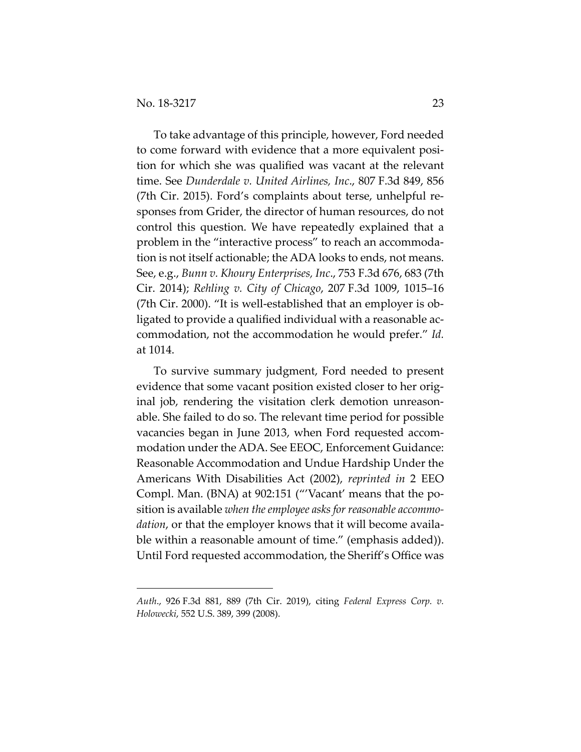$\overline{a}$ 

To take advantage of this principle, however, Ford needed to come forward with evidence that a more equivalent position for which she was qualified was vacant at the relevant time. See *Dunderdale v. United Airlines, Inc*., 807 F.3d 849, 856 (7th Cir. 2015). Ford's complaints about terse, unhelpful responses from Grider, the director of human resources, do not control this question. We have repeatedly explained that a problem in the "interactive process" to reach an accommodation is not itself actionable; the ADA looks to ends, not means. See, e.g., *Bunn v. Khoury Enterprises, Inc*., 753 F.3d 676, 683 (7th Cir. 2014); *Rehling v. City of Chicago*, 207 F.3d 1009, 1015–16 (7th Cir. 2000). "It is well-established that an employer is obligated to provide a qualified individual with a reasonable accommodation, not the accommodation he would prefer." *Id.*  at 1014.

To survive summary judgment, Ford needed to present evidence that some vacant position existed closer to her original job, rendering the visitation clerk demotion unreasonable. She failed to do so. The relevant time period for possible vacancies began in June 2013, when Ford requested accommodation under the ADA. See EEOC, Enforcement Guidance: Reasonable Accommodation and Undue Hardship Under the Americans With Disabilities Act (2002), *reprinted in* 2 EEO Compl. Man. (BNA) at 902:151 ("'Vacant' means that the position is available *when the employee asks for reasonable accommodation*, or that the employer knows that it will become available within a reasonable amount of time." (emphasis added)). Until Ford requested accommodation, the Sheriff's Office was

*Auth*., 926 F.3d 881, 889 (7th Cir. 2019), citing *Federal Express Corp. v. Holowecki*, 552 U.S. 389, 399 (2008).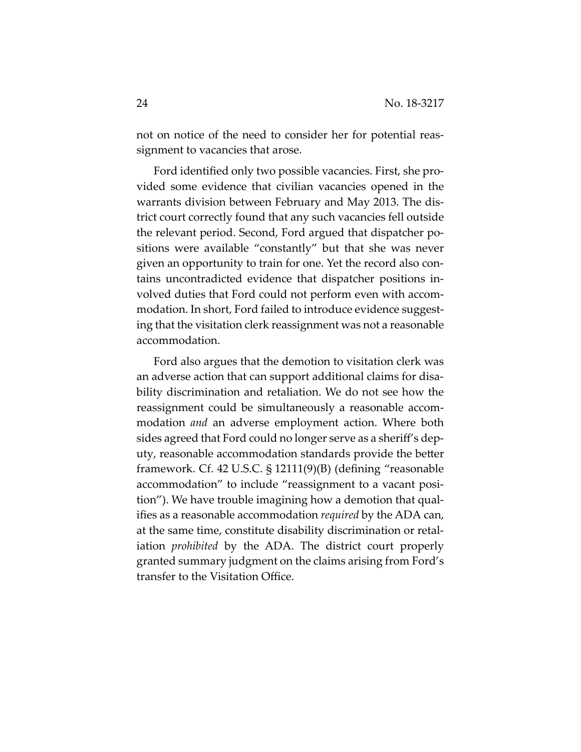not on notice of the need to consider her for potential reassignment to vacancies that arose.

Ford identified only two possible vacancies. First, she provided some evidence that civilian vacancies opened in the warrants division between February and May 2013. The district court correctly found that any such vacancies fell outside the relevant period. Second, Ford argued that dispatcher positions were available "constantly" but that she was never given an opportunity to train for one. Yet the record also contains uncontradicted evidence that dispatcher positions involved duties that Ford could not perform even with accommodation. In short, Ford failed to introduce evidence suggesting that the visitation clerk reassignment was not a reasonable accommodation.

Ford also argues that the demotion to visitation clerk was an adverse action that can support additional claims for disability discrimination and retaliation. We do not see how the reassignment could be simultaneously a reasonable accommodation *and* an adverse employment action. Where both sides agreed that Ford could no longer serve as a sheriff's deputy, reasonable accommodation standards provide the better framework. Cf. 42 U.S.C. § 12111(9)(B) (defining "reasonable accommodation" to include "reassignment to a vacant position"). We have trouble imagining how a demotion that qualifies as a reasonable accommodation *required* by the ADA can, at the same time, constitute disability discrimination or retaliation *prohibited* by the ADA. The district court properly granted summary judgment on the claims arising from Ford's transfer to the Visitation Office.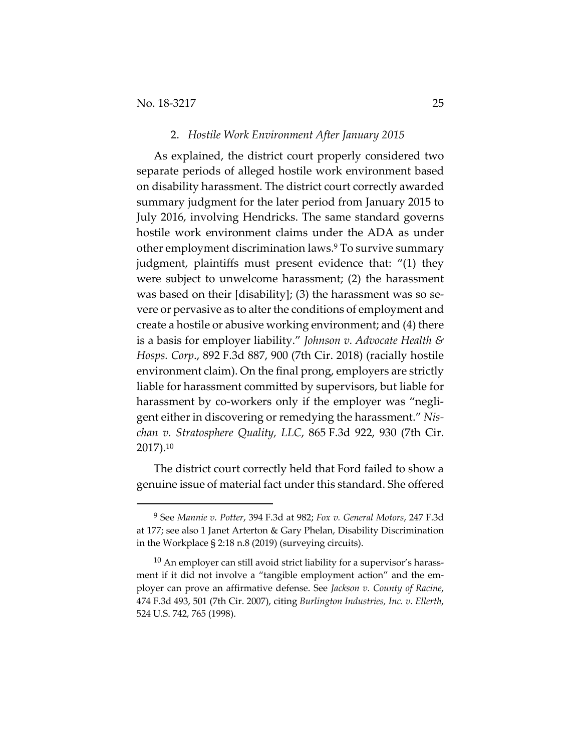-

#### 2. *Hostile Work Environment After January 2015*

As explained, the district court properly considered two separate periods of alleged hostile work environment based on disability harassment. The district court correctly awarded summary judgment for the later period from January 2015 to July 2016, involving Hendricks. The same standard governs hostile work environment claims under the ADA as under other employment discrimination laws.9 To survive summary judgment, plaintiffs must present evidence that: "(1) they were subject to unwelcome harassment; (2) the harassment was based on their [disability]; (3) the harassment was so severe or pervasive as to alter the conditions of employment and create a hostile or abusive working environment; and (4) there is a basis for employer liability." *Johnson v. Advocate Health & Hosps. Corp*., 892 F.3d 887, 900 (7th Cir. 2018) (racially hostile environment claim). On the final prong, employers are strictly liable for harassment committed by supervisors, but liable for harassment by co-workers only if the employer was "negligent either in discovering or remedying the harassment." *Nischan v. Stratosphere Quality, LLC*, 865 F.3d 922, 930 (7th Cir. 2017).10

The district court correctly held that Ford failed to show a genuine issue of material fact under this standard. She offered

<sup>9</sup> See *Mannie v. Potter*, 394 F.3d at 982; *Fox v. General Motors*, 247 F.3d at 177; see also 1 Janet Arterton & Gary Phelan, Disability Discrimination in the Workplace § 2:18 n.8 (2019) (surveying circuits).

 $10$  An employer can still avoid strict liability for a supervisor's harassment if it did not involve a "tangible employment action" and the employer can prove an affirmative defense. See *Jackson v. County of Racine*, 474 F.3d 493, 501 (7th Cir. 2007), citing *Burlington Industries, Inc. v. Ellerth*, 524 U.S. 742, 765 (1998).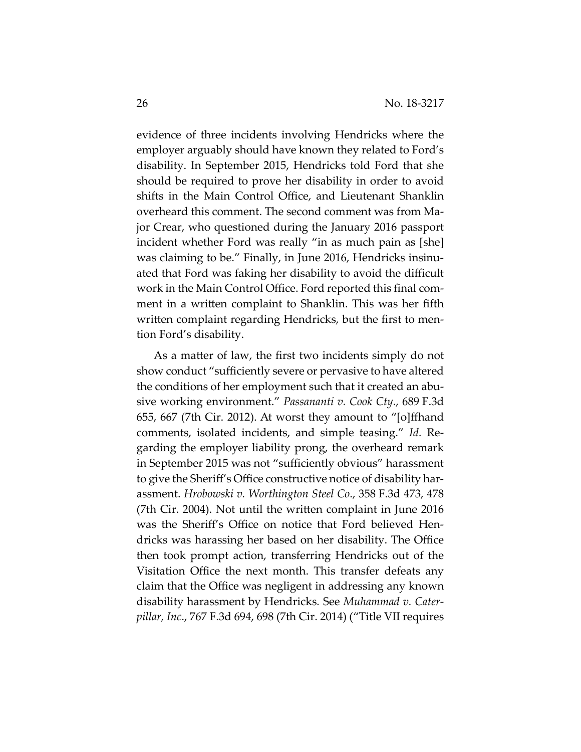evidence of three incidents involving Hendricks where the employer arguably should have known they related to Ford's disability. In September 2015, Hendricks told Ford that she should be required to prove her disability in order to avoid shifts in the Main Control Office, and Lieutenant Shanklin overheard this comment. The second comment was from Major Crear, who questioned during the January 2016 passport incident whether Ford was really "in as much pain as [she] was claiming to be." Finally, in June 2016, Hendricks insinuated that Ford was faking her disability to avoid the difficult work in the Main Control Office. Ford reported this final comment in a written complaint to Shanklin. This was her fifth written complaint regarding Hendricks, but the first to mention Ford's disability.

As a matter of law, the first two incidents simply do not show conduct "sufficiently severe or pervasive to have altered the conditions of her employment such that it created an abusive working environment." *Passananti v. Cook Cty*., 689 F.3d 655, 667 (7th Cir. 2012). At worst they amount to "[o]ffhand comments, isolated incidents, and simple teasing." *Id.* Regarding the employer liability prong, the overheard remark in September 2015 was not "sufficiently obvious" harassment to give the Sheriff's Office constructive notice of disability harassment. *Hrobowski v. Worthington Steel Co*., 358 F.3d 473, 478 (7th Cir. 2004). Not until the written complaint in June 2016 was the Sheriff's Office on notice that Ford believed Hendricks was harassing her based on her disability. The Office then took prompt action, transferring Hendricks out of the Visitation Office the next month. This transfer defeats any claim that the Office was negligent in addressing any known disability harassment by Hendricks*.* See *Muhammad v. Caterpillar, Inc*., 767 F.3d 694, 698 (7th Cir. 2014) ("Title VII requires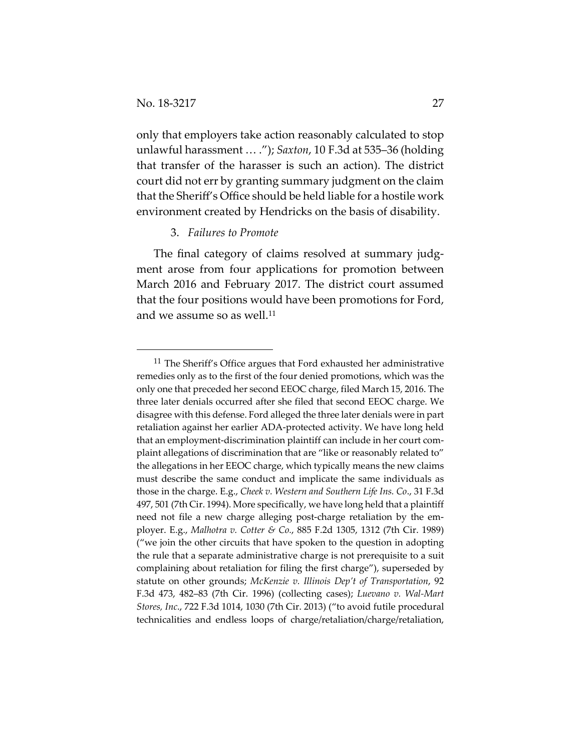$\overline{a}$ 

only that employers take action reasonably calculated to stop unlawful harassment … ."); *Saxton*, 10 F.3d at 535–36 (holding that transfer of the harasser is such an action). The district court did not err by granting summary judgment on the claim that the Sheriff's Office should be held liable for a hostile work environment created by Hendricks on the basis of disability.

### 3. *Failures to Promote*

The final category of claims resolved at summary judgment arose from four applications for promotion between March 2016 and February 2017. The district court assumed that the four positions would have been promotions for Ford, and we assume so as well.<sup>11</sup>

<sup>&</sup>lt;sup>11</sup> The Sheriff's Office argues that Ford exhausted her administrative remedies only as to the first of the four denied promotions, which was the only one that preceded her second EEOC charge, filed March 15, 2016. The three later denials occurred after she filed that second EEOC charge. We disagree with this defense. Ford alleged the three later denials were in part retaliation against her earlier ADA-protected activity. We have long held that an employment-discrimination plaintiff can include in her court complaint allegations of discrimination that are "like or reasonably related to" the allegations in her EEOC charge, which typically means the new claims must describe the same conduct and implicate the same individuals as those in the charge. E.g., *Cheek v. Western and Southern Life Ins. Co*., 31 F.3d 497, 501 (7th Cir. 1994). More specifically, we have long held that a plaintiff need not file a new charge alleging post-charge retaliation by the employer. E.g., *Malhotra v. Cotter & Co.*, 885 F.2d 1305, 1312 (7th Cir. 1989) ("we join the other circuits that have spoken to the question in adopting the rule that a separate administrative charge is not prerequisite to a suit complaining about retaliation for filing the first charge"), superseded by statute on other grounds; *McKenzie v. Illinois Dep't of Transportation*, 92 F.3d 473, 482–83 (7th Cir. 1996) (collecting cases); *Luevano v. Wal-Mart Stores, Inc*., 722 F.3d 1014, 1030 (7th Cir. 2013) ("to avoid futile procedural technicalities and endless loops of charge/retaliation/charge/retaliation,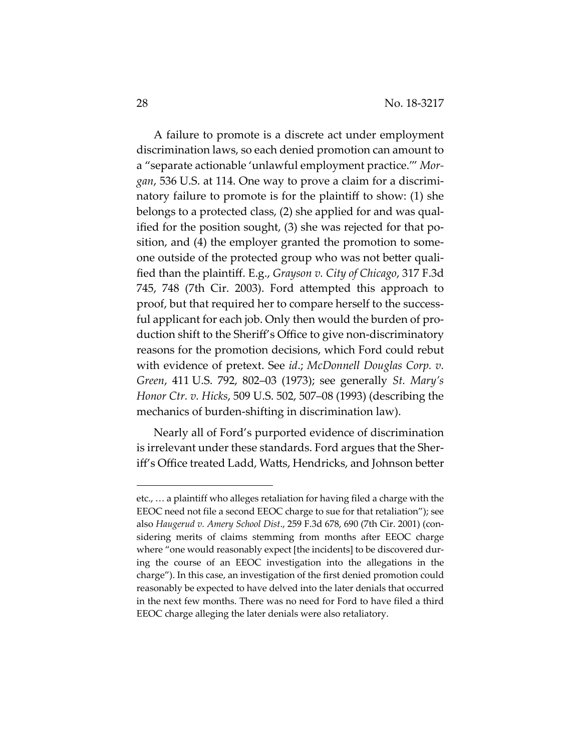A failure to promote is a discrete act under employment discrimination laws, so each denied promotion can amount to a "separate actionable 'unlawful employment practice.'" *Morgan*, 536 U.S. at 114. One way to prove a claim for a discriminatory failure to promote is for the plaintiff to show: (1) she belongs to a protected class, (2) she applied for and was qualified for the position sought, (3) she was rejected for that position, and (4) the employer granted the promotion to someone outside of the protected group who was not better qualified than the plaintiff. E.g., *Grayson v. City of Chicago*, 317 F.3d 745, 748 (7th Cir. 2003). Ford attempted this approach to proof, but that required her to compare herself to the successful applicant for each job. Only then would the burden of production shift to the Sheriff's Office to give non-discriminatory reasons for the promotion decisions, which Ford could rebut with evidence of pretext. See *id*.; *McDonnell Douglas Corp. v. Green*, 411 U.S. 792, 802–03 (1973); see generally *St. Mary's Honor Ctr. v. Hicks*, 509 U.S. 502, 507–08 (1993) (describing the mechanics of burden-shifting in discrimination law).

Nearly all of Ford's purported evidence of discrimination is irrelevant under these standards. Ford argues that the Sheriff's Office treated Ladd, Watts, Hendricks, and Johnson better

 $\overline{a}$ 

etc., … a plaintiff who alleges retaliation for having filed a charge with the EEOC need not file a second EEOC charge to sue for that retaliation"); see also *Haugerud v. Amery School Dist*., 259 F.3d 678, 690 (7th Cir. 2001) (considering merits of claims stemming from months after EEOC charge where "one would reasonably expect [the incidents] to be discovered during the course of an EEOC investigation into the allegations in the charge"). In this case, an investigation of the first denied promotion could reasonably be expected to have delved into the later denials that occurred in the next few months. There was no need for Ford to have filed a third EEOC charge alleging the later denials were also retaliatory.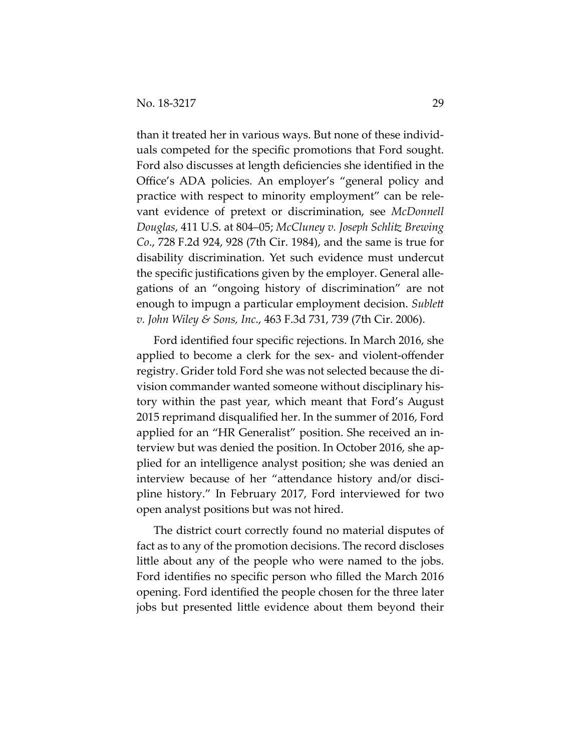than it treated her in various ways. But none of these individuals competed for the specific promotions that Ford sought. Ford also discusses at length deficiencies she identified in the Office's ADA policies. An employer's "general policy and practice with respect to minority employment" can be relevant evidence of pretext or discrimination, see *McDonnell Douglas*, 411 U.S. at 804–05; *McCluney v. Joseph Schlitz Brewing Co*., 728 F.2d 924, 928 (7th Cir. 1984), and the same is true for disability discrimination. Yet such evidence must undercut the specific justifications given by the employer. General allegations of an "ongoing history of discrimination" are not enough to impugn a particular employment decision. *Sublett v. John Wiley & Sons, Inc*., 463 F.3d 731, 739 (7th Cir. 2006).

Ford identified four specific rejections. In March 2016, she applied to become a clerk for the sex- and violent-offender registry. Grider told Ford she was not selected because the division commander wanted someone without disciplinary history within the past year, which meant that Ford's August 2015 reprimand disqualified her. In the summer of 2016, Ford applied for an "HR Generalist" position. She received an interview but was denied the position. In October 2016, she applied for an intelligence analyst position; she was denied an interview because of her "attendance history and/or discipline history." In February 2017, Ford interviewed for two open analyst positions but was not hired.

The district court correctly found no material disputes of fact as to any of the promotion decisions. The record discloses little about any of the people who were named to the jobs. Ford identifies no specific person who filled the March 2016 opening. Ford identified the people chosen for the three later jobs but presented little evidence about them beyond their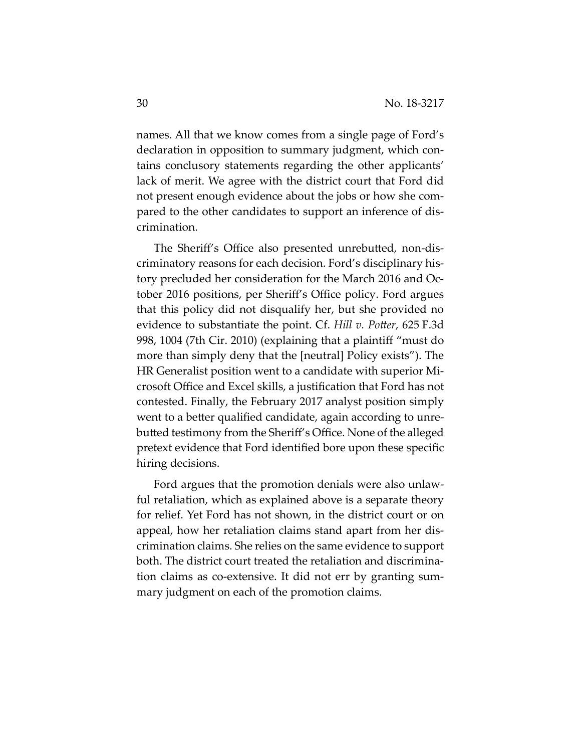names. All that we know comes from a single page of Ford's declaration in opposition to summary judgment, which contains conclusory statements regarding the other applicants' lack of merit. We agree with the district court that Ford did not present enough evidence about the jobs or how she compared to the other candidates to support an inference of discrimination.

The Sheriff's Office also presented unrebutted, non-discriminatory reasons for each decision. Ford's disciplinary history precluded her consideration for the March 2016 and October 2016 positions, per Sheriff's Office policy. Ford argues that this policy did not disqualify her, but she provided no evidence to substantiate the point. Cf. *Hill v. Potter*, 625 F.3d 998, 1004 (7th Cir. 2010) (explaining that a plaintiff "must do more than simply deny that the [neutral] Policy exists"). The HR Generalist position went to a candidate with superior Microsoft Office and Excel skills, a justification that Ford has not contested. Finally, the February 2017 analyst position simply went to a better qualified candidate, again according to unrebutted testimony from the Sheriff's Office. None of the alleged pretext evidence that Ford identified bore upon these specific hiring decisions.

Ford argues that the promotion denials were also unlawful retaliation, which as explained above is a separate theory for relief. Yet Ford has not shown, in the district court or on appeal, how her retaliation claims stand apart from her discrimination claims. She relies on the same evidence to support both. The district court treated the retaliation and discrimination claims as co-extensive. It did not err by granting summary judgment on each of the promotion claims.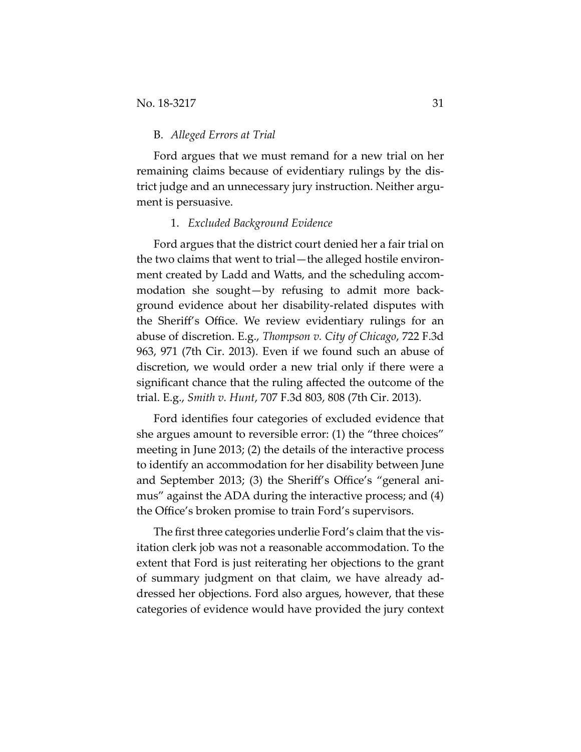### B. *Alleged Errors at Trial*

Ford argues that we must remand for a new trial on her remaining claims because of evidentiary rulings by the district judge and an unnecessary jury instruction. Neither argument is persuasive.

#### 1. *Excluded Background Evidence*

Ford argues that the district court denied her a fair trial on the two claims that went to trial—the alleged hostile environment created by Ladd and Watts, and the scheduling accommodation she sought—by refusing to admit more background evidence about her disability-related disputes with the Sheriff's Office. We review evidentiary rulings for an abuse of discretion. E.g., *Thompson v. City of Chicago*, 722 F.3d 963, 971 (7th Cir. 2013). Even if we found such an abuse of discretion, we would order a new trial only if there were a significant chance that the ruling affected the outcome of the trial. E.g., *Smith v. Hunt*, 707 F.3d 803, 808 (7th Cir. 2013).

Ford identifies four categories of excluded evidence that she argues amount to reversible error: (1) the "three choices" meeting in June 2013; (2) the details of the interactive process to identify an accommodation for her disability between June and September 2013; (3) the Sheriff's Office's "general animus" against the ADA during the interactive process; and (4) the Office's broken promise to train Ford's supervisors.

The first three categories underlie Ford's claim that the visitation clerk job was not a reasonable accommodation. To the extent that Ford is just reiterating her objections to the grant of summary judgment on that claim, we have already addressed her objections. Ford also argues, however, that these categories of evidence would have provided the jury context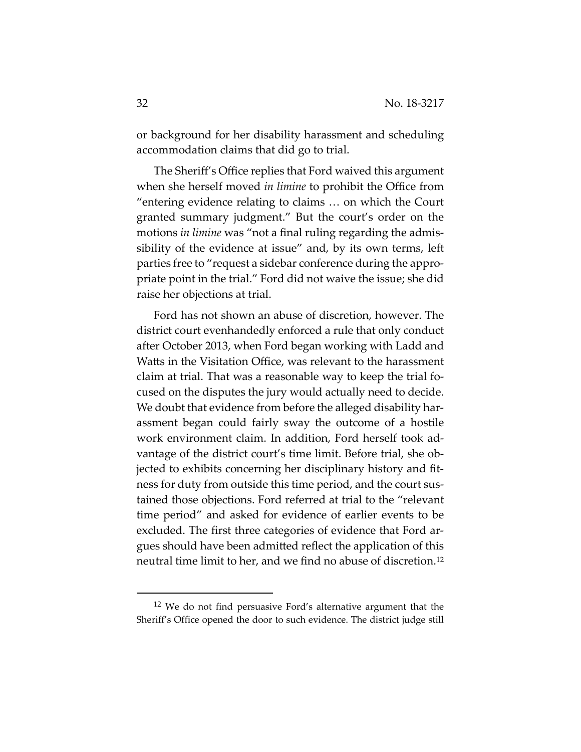or background for her disability harassment and scheduling accommodation claims that did go to trial.

The Sheriff's Office replies that Ford waived this argument when she herself moved *in limine* to prohibit the Office from "entering evidence relating to claims … on which the Court granted summary judgment." But the court's order on the motions *in limine* was "not a final ruling regarding the admissibility of the evidence at issue" and, by its own terms, left parties free to "request a sidebar conference during the appropriate point in the trial." Ford did not waive the issue; she did raise her objections at trial.

Ford has not shown an abuse of discretion, however. The district court evenhandedly enforced a rule that only conduct after October 2013, when Ford began working with Ladd and Watts in the Visitation Office, was relevant to the harassment claim at trial. That was a reasonable way to keep the trial focused on the disputes the jury would actually need to decide. We doubt that evidence from before the alleged disability harassment began could fairly sway the outcome of a hostile work environment claim. In addition, Ford herself took advantage of the district court's time limit. Before trial, she objected to exhibits concerning her disciplinary history and fitness for duty from outside this time period, and the court sustained those objections. Ford referred at trial to the "relevant time period" and asked for evidence of earlier events to be excluded. The first three categories of evidence that Ford argues should have been admitted reflect the application of this neutral time limit to her, and we find no abuse of discretion.12

 $\overline{a}$ 

<sup>12</sup> We do not find persuasive Ford's alternative argument that the Sheriff's Office opened the door to such evidence. The district judge still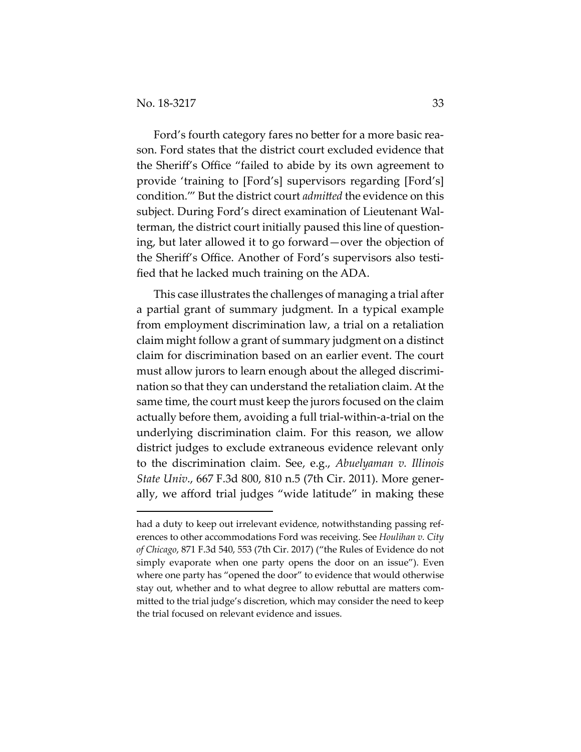$\overline{a}$ 

Ford's fourth category fares no better for a more basic reason. Ford states that the district court excluded evidence that the Sheriff's Office "failed to abide by its own agreement to provide 'training to [Ford's] supervisors regarding [Ford's] condition.'" But the district court *admitted* the evidence on this subject. During Ford's direct examination of Lieutenant Walterman, the district court initially paused this line of questioning, but later allowed it to go forward—over the objection of the Sheriff's Office. Another of Ford's supervisors also testified that he lacked much training on the ADA.

This case illustrates the challenges of managing a trial after a partial grant of summary judgment. In a typical example from employment discrimination law, a trial on a retaliation claim might follow a grant of summary judgment on a distinct claim for discrimination based on an earlier event. The court must allow jurors to learn enough about the alleged discrimination so that they can understand the retaliation claim. At the same time, the court must keep the jurors focused on the claim actually before them, avoiding a full trial-within-a-trial on the underlying discrimination claim. For this reason, we allow district judges to exclude extraneous evidence relevant only to the discrimination claim. See, e.g., *Abuelyaman v. Illinois State Univ*., 667 F.3d 800, 810 n.5 (7th Cir. 2011). More generally, we afford trial judges "wide latitude" in making these

had a duty to keep out irrelevant evidence, notwithstanding passing references to other accommodations Ford was receiving. See *Houlihan v. City of Chicago*, 871 F.3d 540, 553 (7th Cir. 2017) ("the Rules of Evidence do not simply evaporate when one party opens the door on an issue"). Even where one party has "opened the door" to evidence that would otherwise stay out, whether and to what degree to allow rebuttal are matters committed to the trial judge's discretion, which may consider the need to keep the trial focused on relevant evidence and issues.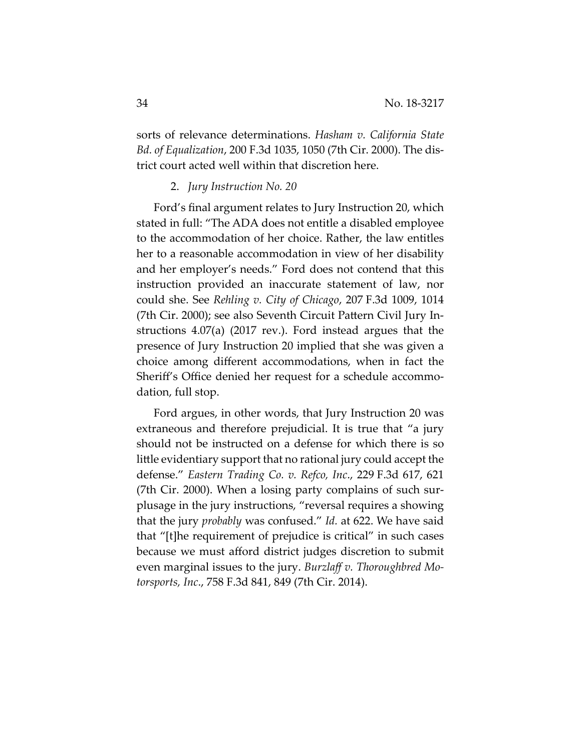sorts of relevance determinations. *Hasham v. California State Bd. of Equalization*, 200 F.3d 1035, 1050 (7th Cir. 2000). The district court acted well within that discretion here.

## 2. *Jury Instruction No. 20*

Ford's final argument relates to Jury Instruction 20, which stated in full: "The ADA does not entitle a disabled employee to the accommodation of her choice. Rather, the law entitles her to a reasonable accommodation in view of her disability and her employer's needs." Ford does not contend that this instruction provided an inaccurate statement of law, nor could she. See *Rehling v. City of Chicago*, 207 F.3d 1009, 1014 (7th Cir. 2000); see also Seventh Circuit Pattern Civil Jury Instructions 4.07(a) (2017 rev.). Ford instead argues that the presence of Jury Instruction 20 implied that she was given a choice among different accommodations, when in fact the Sheriff's Office denied her request for a schedule accommodation, full stop.

Ford argues, in other words, that Jury Instruction 20 was extraneous and therefore prejudicial. It is true that "a jury should not be instructed on a defense for which there is so little evidentiary support that no rational jury could accept the defense." *Eastern Trading Co. v. Refco, Inc*., 229 F.3d 617, 621 (7th Cir. 2000). When a losing party complains of such surplusage in the jury instructions, "reversal requires a showing that the jury *probably* was confused." *Id.* at 622. We have said that "[t]he requirement of prejudice is critical" in such cases because we must afford district judges discretion to submit even marginal issues to the jury. *Burzlaff v. Thoroughbred Motorsports, Inc*., 758 F.3d 841, 849 (7th Cir. 2014).